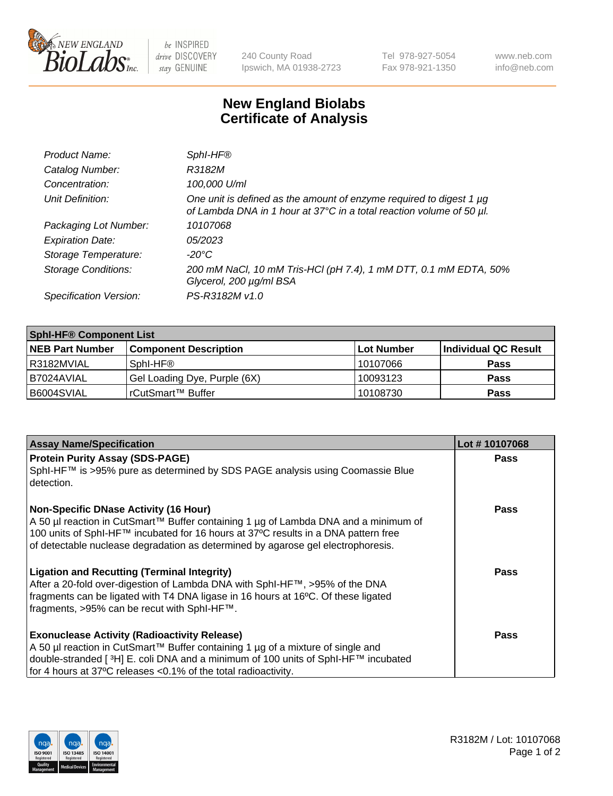

 $be$  INSPIRED drive DISCOVERY stay GENUINE

240 County Road Ipswich, MA 01938-2723 Tel 978-927-5054 Fax 978-921-1350 www.neb.com info@neb.com

## **New England Biolabs Certificate of Analysis**

| Product Name:              | Sphl-HF®                                                                                                                                    |
|----------------------------|---------------------------------------------------------------------------------------------------------------------------------------------|
| Catalog Number:            | R3182M                                                                                                                                      |
| Concentration:             | 100,000 U/ml                                                                                                                                |
| Unit Definition:           | One unit is defined as the amount of enzyme required to digest 1 µg<br>of Lambda DNA in 1 hour at 37°C in a total reaction volume of 50 µl. |
| Packaging Lot Number:      | 10107068                                                                                                                                    |
| <b>Expiration Date:</b>    | 05/2023                                                                                                                                     |
| Storage Temperature:       | $-20^{\circ}$ C                                                                                                                             |
| <b>Storage Conditions:</b> | 200 mM NaCl, 10 mM Tris-HCl (pH 7.4), 1 mM DTT, 0.1 mM EDTA, 50%<br>Glycerol, 200 µg/ml BSA                                                 |
| Specification Version:     | PS-R3182M v1.0                                                                                                                              |

| <b>Sphl-HF® Component List</b> |                              |             |                      |  |  |
|--------------------------------|------------------------------|-------------|----------------------|--|--|
| <b>NEB Part Number</b>         | <b>Component Description</b> | ∣Lot Number | Individual QC Result |  |  |
| R3182MVIAL                     | Sphl-HF®                     | 10107066    | <b>Pass</b>          |  |  |
| B7024AVIAL                     | Gel Loading Dye, Purple (6X) | 10093123    | <b>Pass</b>          |  |  |
| B6004SVIAL                     | l rCutSmart™ Buffer          | 10108730    | <b>Pass</b>          |  |  |

| <b>Assay Name/Specification</b>                                                                                                                                        | Lot #10107068 |
|------------------------------------------------------------------------------------------------------------------------------------------------------------------------|---------------|
| <b>Protein Purity Assay (SDS-PAGE)</b>                                                                                                                                 | <b>Pass</b>   |
| SphI-HF™ is >95% pure as determined by SDS PAGE analysis using Coomassie Blue<br>detection.                                                                            |               |
| <b>Non-Specific DNase Activity (16 Hour)</b>                                                                                                                           | <b>Pass</b>   |
| A 50 µl reaction in CutSmart™ Buffer containing 1 µg of Lambda DNA and a minimum of                                                                                    |               |
| 100 units of SphI-HF™ incubated for 16 hours at 37°C results in a DNA pattern free<br>of detectable nuclease degradation as determined by agarose gel electrophoresis. |               |
|                                                                                                                                                                        |               |
| <b>Ligation and Recutting (Terminal Integrity)</b>                                                                                                                     | Pass          |
| After a 20-fold over-digestion of Lambda DNA with SphI-HF™, >95% of the DNA                                                                                            |               |
| fragments can be ligated with T4 DNA ligase in 16 hours at 16°C. Of these ligated                                                                                      |               |
| fragments, >95% can be recut with SphI-HF™.                                                                                                                            |               |
| <b>Exonuclease Activity (Radioactivity Release)</b>                                                                                                                    | <b>Pass</b>   |
| A 50 µl reaction in CutSmart™ Buffer containing 1 µg of a mixture of single and                                                                                        |               |
| double-stranded [3H] E. coli DNA and a minimum of 100 units of Sphl-HF™ incubated                                                                                      |               |
| for 4 hours at 37°C releases < 0.1% of the total radioactivity.                                                                                                        |               |